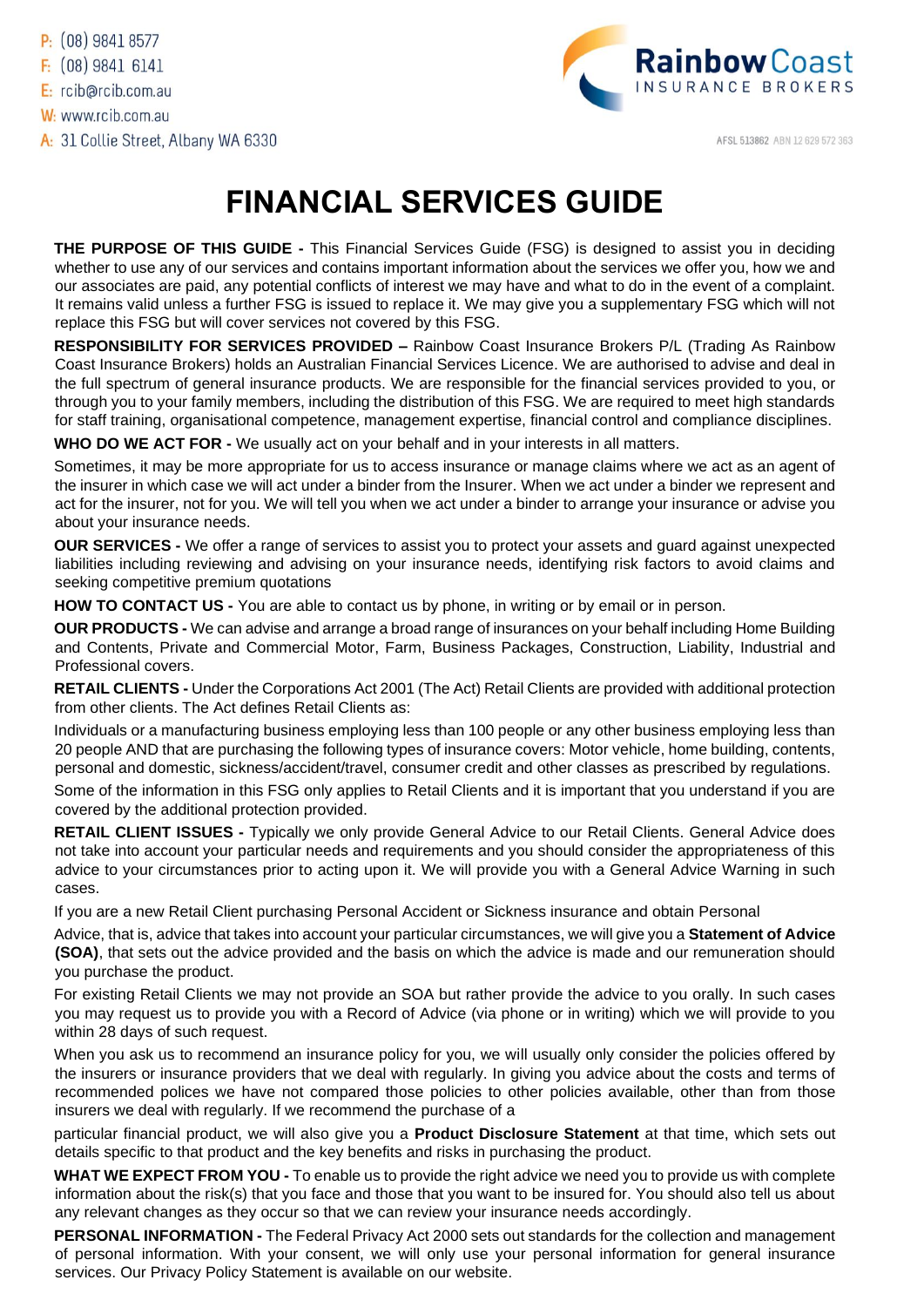

AFSL 513862 ABN 12 629 572 363

## **FINANCIAL SERVICES GUIDE**

**THE PURPOSE OF THIS GUIDE -** This Financial Services Guide (FSG) is designed to assist you in deciding whether to use any of our services and contains important information about the services we offer you, how we and our associates are paid, any potential conflicts of interest we may have and what to do in the event of a complaint. It remains valid unless a further FSG is issued to replace it. We may give you a supplementary FSG which will not replace this FSG but will cover services not covered by this FSG.

**RESPONSIBILITY FOR SERVICES PROVIDED –** Rainbow Coast Insurance Brokers P/L (Trading As Rainbow Coast Insurance Brokers) holds an Australian Financial Services Licence. We are authorised to advise and deal in the full spectrum of general insurance products. We are responsible for the financial services provided to you, or through you to your family members, including the distribution of this FSG. We are required to meet high standards for staff training, organisational competence, management expertise, financial control and compliance disciplines.

**WHO DO WE ACT FOR -** We usually act on your behalf and in your interests in all matters.

Sometimes, it may be more appropriate for us to access insurance or manage claims where we act as an agent of the insurer in which case we will act under a binder from the Insurer. When we act under a binder we represent and act for the insurer, not for you. We will tell you when we act under a binder to arrange your insurance or advise you about your insurance needs.

**OUR SERVICES -** We offer a range of services to assist you to protect your assets and guard against unexpected liabilities including reviewing and advising on your insurance needs, identifying risk factors to avoid claims and seeking competitive premium quotations

**HOW TO CONTACT US -** You are able to contact us by phone, in writing or by email or in person.

**OUR PRODUCTS -** We can advise and arrange a broad range of insurances on your behalf including Home Building and Contents, Private and Commercial Motor, Farm, Business Packages, Construction, Liability, Industrial and Professional covers.

**RETAIL CLIENTS -** Under the Corporations Act 2001 (The Act) Retail Clients are provided with additional protection from other clients. The Act defines Retail Clients as:

Individuals or a manufacturing business employing less than 100 people or any other business employing less than 20 people AND that are purchasing the following types of insurance covers: Motor vehicle, home building, contents, personal and domestic, sickness/accident/travel, consumer credit and other classes as prescribed by regulations.

Some of the information in this FSG only applies to Retail Clients and it is important that you understand if you are covered by the additional protection provided.

**RETAIL CLIENT ISSUES -** Typically we only provide General Advice to our Retail Clients. General Advice does not take into account your particular needs and requirements and you should consider the appropriateness of this advice to your circumstances prior to acting upon it. We will provide you with a General Advice Warning in such cases.

If you are a new Retail Client purchasing Personal Accident or Sickness insurance and obtain Personal

Advice, that is, advice that takes into account your particular circumstances, we will give you a **Statement of Advice (SOA)**, that sets out the advice provided and the basis on which the advice is made and our remuneration should you purchase the product.

For existing Retail Clients we may not provide an SOA but rather provide the advice to you orally. In such cases you may request us to provide you with a Record of Advice (via phone or in writing) which we will provide to you within 28 days of such request.

When you ask us to recommend an insurance policy for you, we will usually only consider the policies offered by the insurers or insurance providers that we deal with regularly. In giving you advice about the costs and terms of recommended polices we have not compared those policies to other policies available, other than from those insurers we deal with regularly. If we recommend the purchase of a

particular financial product, we will also give you a **Product Disclosure Statement** at that time, which sets out details specific to that product and the key benefits and risks in purchasing the product.

**WHAT WE EXPECT FROM YOU -** To enable us to provide the right advice we need you to provide us with complete information about the risk(s) that you face and those that you want to be insured for. You should also tell us about any relevant changes as they occur so that we can review your insurance needs accordingly.

**PERSONAL INFORMATION -** The Federal Privacy Act 2000 sets out standards for the collection and management of personal information. With your consent, we will only use your personal information for general insurance services. Our Privacy Policy Statement is available on our website.